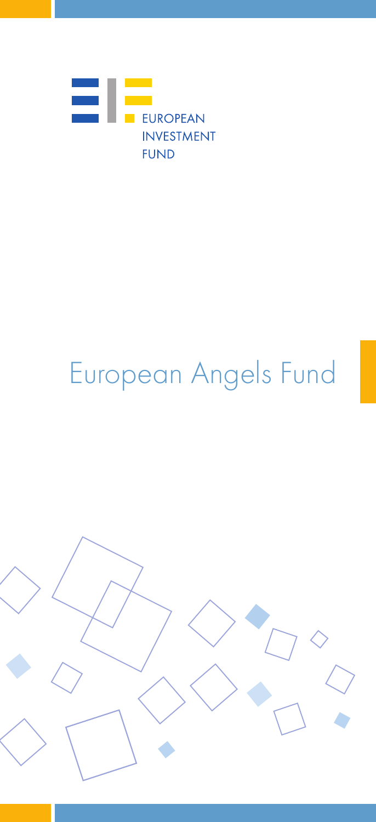

# European Angels Fund

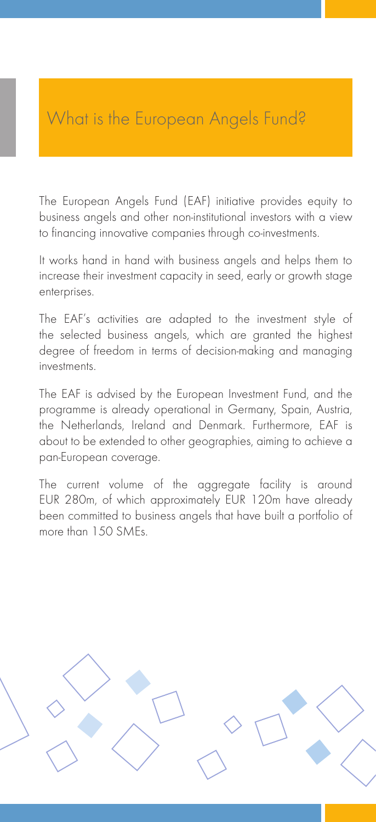### What is the European Angels Fund?

The European Angels Fund (EAF) initiative provides equity to business angels and other non-institutional investors with a view to financing innovative companies through co-investments.

It works hand in hand with business angels and helps them to increase their investment capacity in seed, early or growth stage enterprises.

The EAF's activities are adapted to the investment style of the selected business angels, which are granted the highest degree of freedom in terms of decision-making and managing investments.

The EAF is advised by the European Investment Fund, and the programme is already operational in Germany, Spain, Austria, the Netherlands, Ireland and Denmark. Furthermore, EAF is about to be extended to other geographies, aiming to achieve a pan-European coverage.

The current volume of the aggregate facility is around EUR 280m, of which approximately EUR 120m have already been committed to business angels that have built a portfolio of more than 150 SMEs.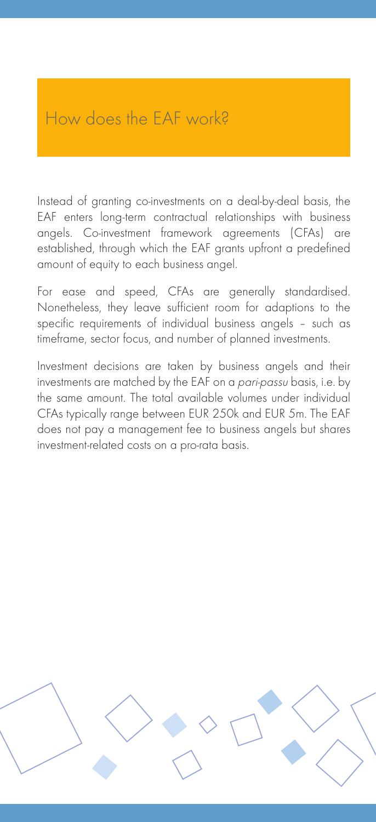## How does the FAF work?

Instead of granting co-investments on a deal-by-deal basis, the EAF enters long-term contractual relationships with business angels. Co-investment framework agreements (CFAs) are established, through which the EAF grants upfront a predefined amount of equity to each business angel.

For ease and speed, CFAs are generally standardised. Nonetheless, they leave sufficient room for adaptions to the specific requirements of individual business angels – such as timeframe, sector focus, and number of planned investments.

Investment decisions are taken by business angels and their investments are matched by the EAF on a *pari-passu* basis, i.e. by the same amount. The total available volumes under individual CFAs typically range between EUR 250k and EUR 5m. The EAF does not pay a management fee to business angels but shares investment-related costs on a pro-rata basis.

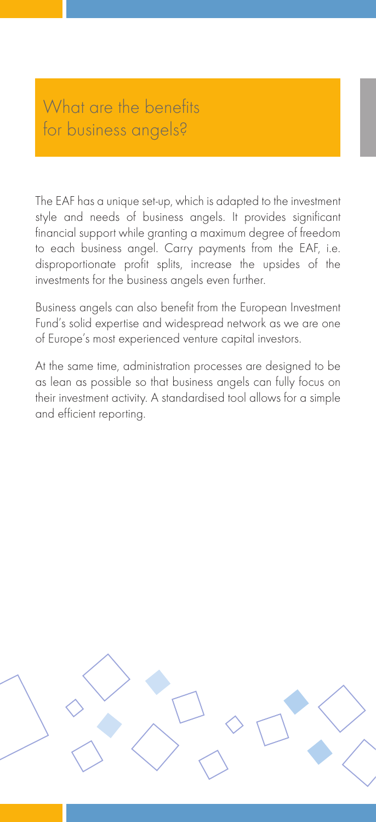#### What are the benefits for business angels?

The EAF has a unique set-up, which is adapted to the investment style and needs of business angels. It provides significant financial support while granting a maximum degree of freedom to each business angel. Carry payments from the EAF, i.e. disproportionate profit splits, increase the upsides of the investments for the business angels even further.

Business angels can also benefit from the European Investment Fund's solid expertise and widespread network as we are one of Europe's most experienced venture capital investors.

At the same time, administration processes are designed to be as lean as possible so that business angels can fully focus on their investment activity. A standardised tool allows for a simple and efficient reporting.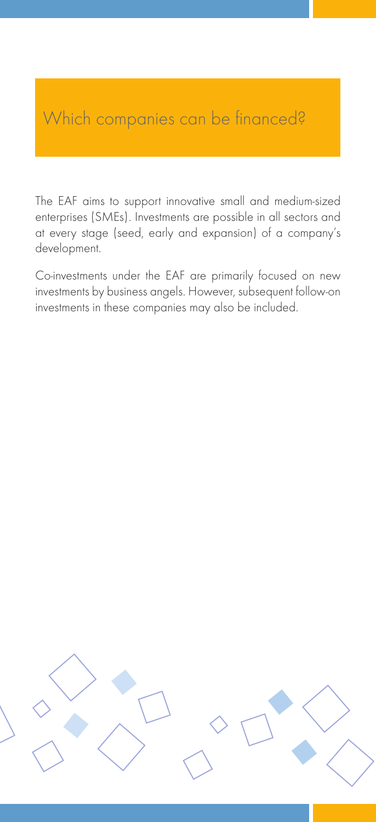#### Which companies can be financed?

The EAF aims to support innovative small and medium-sized enterprises (SMEs). Investments are possible in all sectors and at every stage (seed, early and expansion) of a company's development.

Co-investments under the EAF are primarily focused on new investments by business angels. However, subsequent follow-on investments in these companies may also be included.